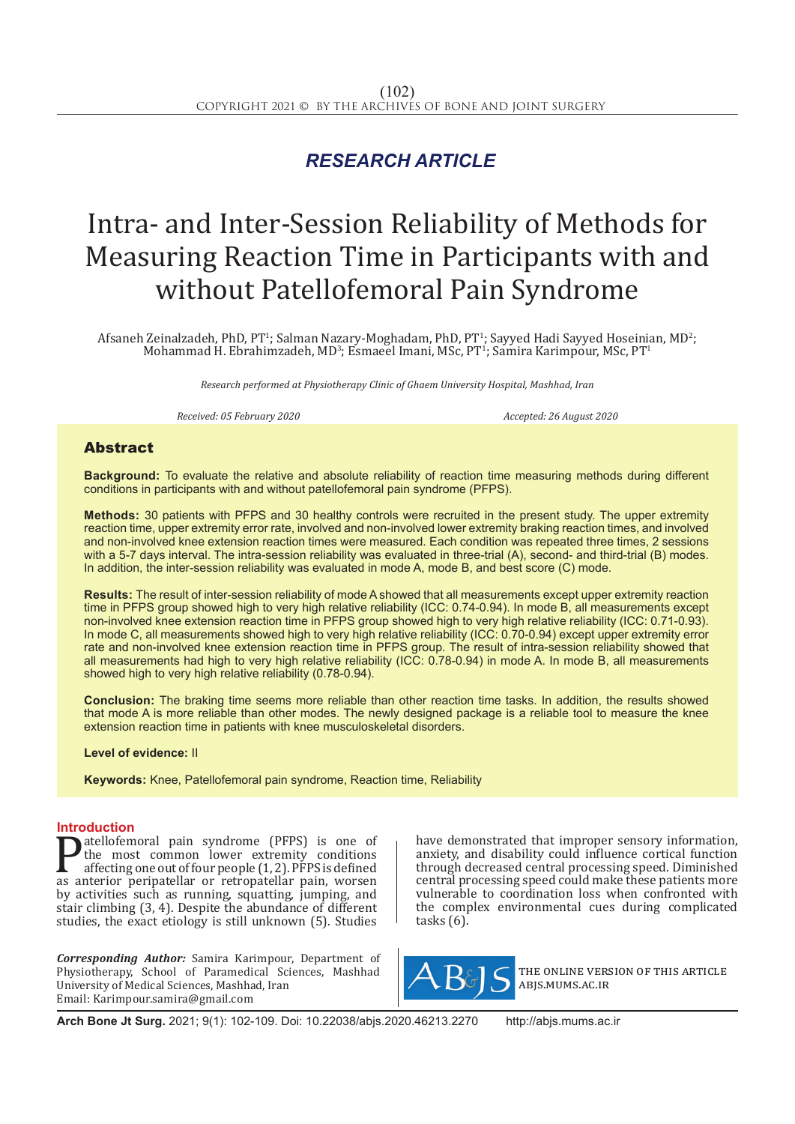# *RESEARCH ARTICLE*

# Intra- and Inter-Session Reliability of Methods for Measuring Reaction Time in Participants with and without Patellofemoral Pain Syndrome

Afsaneh Zeinalzadeh, PhD, PT<sup>1</sup>; Salman Nazary-Moghadam, PhD, PT<sup>1</sup>; Sayyed Hadi Sayyed Hoseinian, MD<sup>2</sup>; Mohammad H. Ebrahimzadeh, MD<sup>3</sup>; Esmaeel Imani, MSc, PT<sup>1</sup>; Samira Karimpour, MSc, PT<sup>1</sup>

*Research performed at Physiotherapy Clinic of Ghaem University Hospital, Mashhad, Iran*

*Received: 05 February 2020 Accepted: 26 August 2020*

# Abstract

**Background:** To evaluate the relative and absolute reliability of reaction time measuring methods during different conditions in participants with and without patellofemoral pain syndrome (PFPS).

**Methods:** 30 patients with PFPS and 30 healthy controls were recruited in the present study. The upper extremity reaction time, upper extremity error rate, involved and non-involved lower extremity braking reaction times, and involved and non-involved knee extension reaction times were measured. Each condition was repeated three times, 2 sessions with a 5-7 days interval. The intra-session reliability was evaluated in three-trial (A), second- and third-trial (B) modes. In addition, the inter-session reliability was evaluated in mode A, mode B, and best score (C) mode.

**Results:** The result of inter-session reliability of mode A showed that all measurements except upper extremity reaction time in PFPS group showed high to very high relative reliability (ICC: 0.74-0.94). In mode B, all measurements except non-involved knee extension reaction time in PFPS group showed high to very high relative reliability (ICC: 0.71-0.93). In mode C, all measurements showed high to very high relative reliability (ICC: 0.70-0.94) except upper extremity error rate and non-involved knee extension reaction time in PFPS group. The result of intra-session reliability showed that all measurements had high to very high relative reliability (ICC: 0.78-0.94) in mode A. In mode B, all measurements showed high to very high relative reliability (0.78-0.94).

**Conclusion:** The braking time seems more reliable than other reaction time tasks. In addition, the results showed that mode A is more reliable than other modes. The newly designed package is a reliable tool to measure the knee extension reaction time in patients with knee musculoskeletal disorders.

#### **Level of evidence:** II

**Keywords:** Knee, Patellofemoral pain syndrome, Reaction time, Reliability

### **Introduction**

**Patellofemoral pain syndrome (PFPS) is one of**<br>the most common lower extremity conditions<br>affecting one out of four people (1, 2). PFPS is defined<br>as anterior peripatellar or retropatellar pain, worsen<br>by activities such the most common lower extremity conditions affecting one out of four people  $(1, 2)$ . PFPS is defined as anterior peripatellar or retropatellar pain, worsen by activities such as running, squatting, jumping, and stair climbing (3, 4). Despite the abundance of different studies, the exact etiology is still unknown (5). Studies

*Corresponding Author:* Samira Karimpour, Department of Physiotherapy, School of Paramedical Sciences, Mashhad University of Medical Sciences, Mashhad, Iran Email: Karimpour.samira@gmail.com

have demonstrated that improper sensory information, anxiety, and disability could influence cortical function through decreased central processing speed. Diminished central processing speed could make these patients more vulnerable to coordination loss when confronted with the complex environmental cues during complicated tasks (6).



the online version of this article abjs.mums.ac.ir

**Arch Bone Jt Surg.** 2021; 9(1): 102-109. Doi: 10.22038/abjs.2020.46213.2270 http://abjs.mums.ac.ir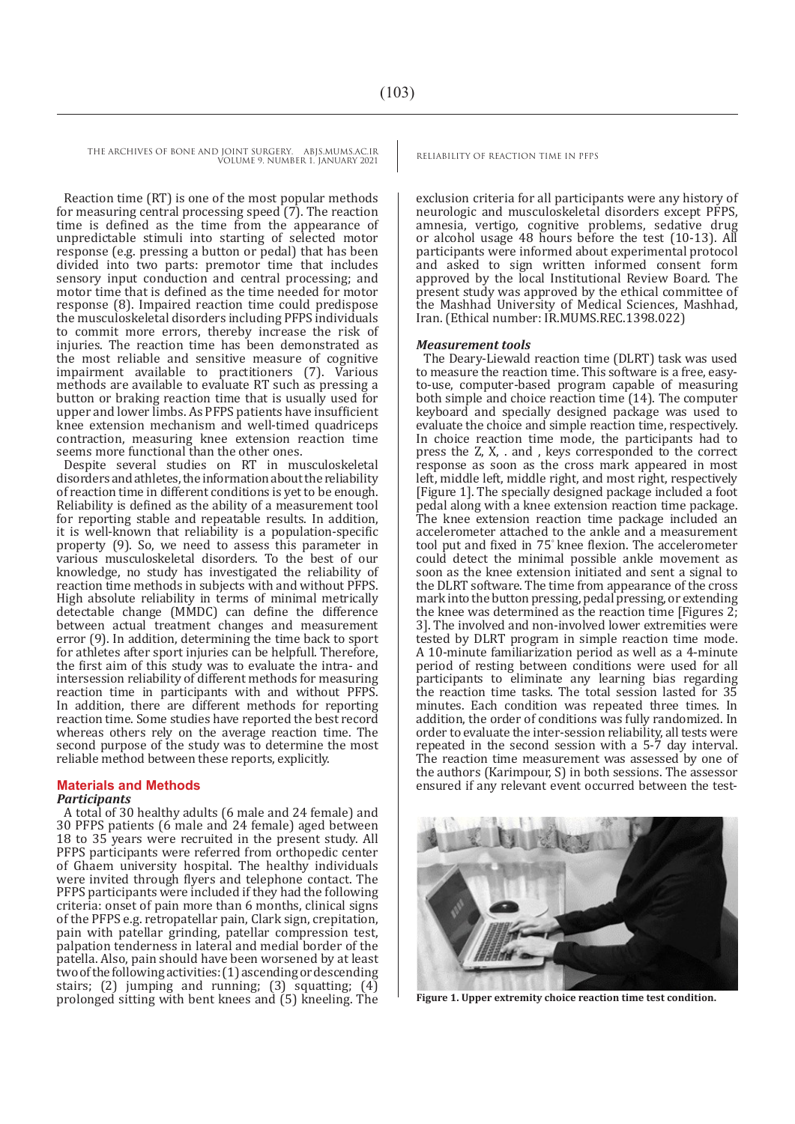THE ARCHIVES OF BONE AND JOINT SURGERY. ABJS.MUMS.AC.IR RELIABILITY OF REACTION TIME IN PFPS

VOLUME 9. NUMBER 1. JANUARY 2021

Reaction time (RT) is one of the most popular methods for measuring central processing speed  $(7)$ . The reaction time is defined as the time from the appearance of unpredictable stimuli into starting of selected motor response (e.g. pressing a button or pedal) that has been divided into two parts: premotor time that includes sensory input conduction and central processing; and motor time that is defined as the time needed for motor response (8). Impaired reaction time could predispose the musculoskeletal disorders including PFPS individuals to commit more errors, thereby increase the risk of injuries. The reaction time has been demonstrated as the most reliable and sensitive measure of cognitive impairment available to practitioners (7). Various methods are available to evaluate RT such as pressing a button or braking reaction time that is usually used for upper and lower limbs. As PFPS patients have insufficient knee extension mechanism and well-timed quadriceps contraction, measuring knee extension reaction time seems more functional than the other ones.

Despite several studies on RT in musculoskeletal disorders and athletes, the information about the reliability of reaction time in different conditions is yet to be enough. Reliability is defined as the ability of a measurement tool for reporting stable and repeatable results. In addition, it is well-known that reliability is a population-specific property (9). So, we need to assess this parameter in various musculoskeletal disorders. To the best of our knowledge, no study has investigated the reliability of reaction time methods in subjects with and without PFPS. High absolute reliability in terms of minimal metrically detectable change (MMDC) can define the difference between actual treatment changes and measurement error (9). In addition, determining the time back to sport for athletes after sport injuries can be helpfull. Therefore, the first aim of this study was to evaluate the intra- and intersession reliability of different methods for measuring reaction time in participants with and without PFPS. In addition, there are different methods for reporting reaction time. Some studies have reported the best record whereas others rely on the average reaction time. The second purpose of the study was to determine the most reliable method between these reports, explicitly.

# **Materials and Methods**

#### *Participants*

A total of 30 healthy adults (6 male and 24 female) and 30 PFPS patients (6 male and 24 female) aged between 18 to 35 years were recruited in the present study. All PFPS participants were referred from orthopedic center of Ghaem university hospital. The healthy individuals were invited through flyers and telephone contact. The PFPS participants were included if they had the following criteria: onset of pain more than 6 months, clinical signs of the PFPS e.g. retropatellar pain, Clark sign, crepitation, pain with patellar grinding, patellar compression test, palpation tenderness in lateral and medial border of the patella. Also, pain should have been worsened by at least two of the following activities: (1) ascending or descending stairs; (2) jumping and running; (3) squatting;  $(4)$ prolonged sitting with bent knees and (5) kneeling. The **Figure 1. Upper extremity choice reaction time test condition.**

exclusion criteria for all participants were any history of neurologic and musculoskeletal disorders except PFPS, amnesia, vertigo, cognitive problems, sedative drug or alcohol usage 48 hours before the test (10-13). All participants were informed about experimental protocol and asked to sign written informed consent form approved by the local Institutional Review Board. The present study was approved by the ethical committee of the Mashhad University of Medical Sciences, Mashhad, Iran. (Ethical number: IR.MUMS.REC.1398.022)

#### *Measurement tools*

The Deary-Liewald reaction time (DLRT) task was used to measure the reaction time. This software is a free, easyto-use, computer-based program capable of measuring both simple and choice reaction time (14). The computer keyboard and specially designed package was used to evaluate the choice and simple reaction time, respectively. In choice reaction time mode, the participants had to press the Z, X, . and , keys corresponded to the correct response as soon as the cross mark appeared in most left, middle left, middle right, and most right, respectively [Figure 1]. The specially designed package included a foot pedal along with a knee extension reaction time package. The knee extension reaction time package included an accelerometer attached to the ankle and a measurement tool put and fixed in 75◦ knee flexion. The accelerometer could detect the minimal possible ankle movement as soon as the knee extension initiated and sent a signal to the DLRT software. The time from appearance of the cross mark into the button pressing, pedal pressing, or extending the knee was determined as the reaction time [Figures 2; 3]. The involved and non-involved lower extremities were tested by DLRT program in simple reaction time mode. A 10-minute familiarization period as well as a 4-minute period of resting between conditions were used for all participants to eliminate any learning bias regarding the reaction time tasks. The total session lasted for 35 minutes. Each condition was repeated three times. In addition, the order of conditions was fully randomized. In order to evaluate the inter-session reliability, all tests were repeated in the second session with a 5-7 day interval. The reaction time measurement was assessed by one of the authors (Karimpour, S) in both sessions. The assessor ensured if any relevant event occurred between the test-

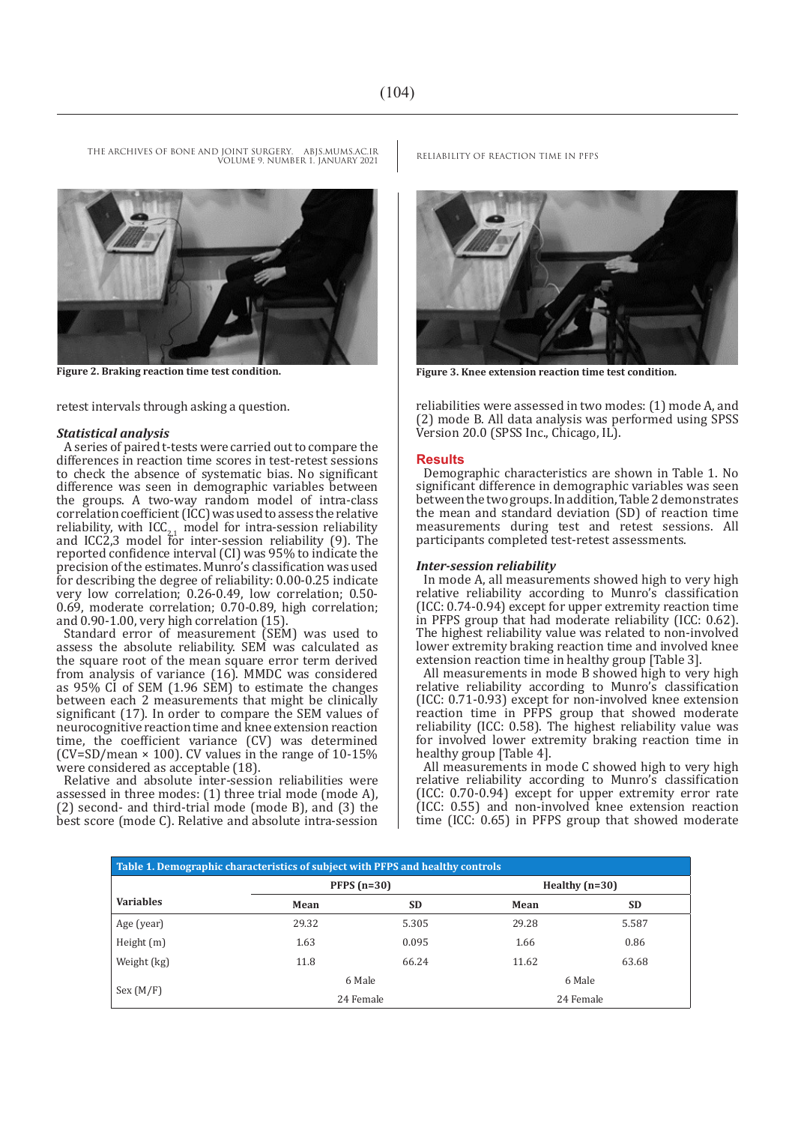**Figure 2. Braking reaction time test condition. Figure 3. Knee extension reaction time test condition.**

retest intervals through asking a question.

#### *Statistical analysis*

A series of paired t-tests were carried out to compare the differences in reaction time scores in test-retest sessions to check the absence of systematic bias. No significant difference was seen in demographic variables between the groups. A two-way random model of intra-class  $correlation coefficient (ICC) was used to assess the relative$ reliability, with  $ICC_{2,1}$  model for intra-session reliability and ICC2,3 model for inter-session reliability (9). The reported confidence interval (CI) was 95% to indicate the precision of the estimates. Munro's classification was used for describing the degree of reliability: 0.00-0.25 indicate very low correlation; 0.26-0.49, low correlation; 0.50- 0.69, moderate correlation; 0.70-0.89, high correlation; and 0.90-1.00, very high correlation (15).

Standard error of measurement (SEM) was used to assess the absolute reliability. SEM was calculated as the square root of the mean square error term derived from analysis of variance (16). MMDC was considered as 95% CI of SEM (1.96 SEM) to estimate the changes between each 2 measurements that might be clinically significant (17). In order to compare the SEM values of neurocognitive reaction time and knee extension reaction time, the coefficient variance (CV) was determined  $(CV=SD/mean \times 100)$ . CV values in the range of 10-15% were considered as acceptable (18).

Relative and absolute inter-session reliabilities were assessed in three modes: (1) three trial mode (mode A), (2) second- and third-trial mode (mode B), and (3) the best score (mode C). Relative and absolute intra-session



reliabilities were assessed in two modes: (1) mode A, and (2) mode B. All data analysis was performed using SPSS Version 20.0 (SPSS Inc., Chicago, IL).

#### **Results**

Demographic characteristics are shown in Table 1. No significant difference in demographic variables was seen between the two groups. In addition, Table 2 demonstrates the mean and standard deviation (SD) of reaction time measurements during test and retest sessions. All participants completed test-retest assessments.

#### *Inter-session reliability*

In mode A, all measurements showed high to very high relative reliability according to Munro's classification (ICC: 0.74-0.94) except for upper extremity reaction time in PFPS group that had moderate reliability (ICC: 0.62). The highest reliability value was related to non-involved lower extremity braking reaction time and involved knee extension reaction time in healthy group [Table 3].

All measurements in mode B showed high to very high relative reliability according to Munro's classification (ICC: 0.71-0.93) except for non-involved knee extension reaction time in PFPS group that showed moderate reliability (ICC: 0.58). The highest reliability value was for involved lower extremity braking reaction time in healthy group [Table 4].

All measurements in mode C showed high to very high relative reliability according to Munro's classification (ICC: 0.70-0.94) except for upper extremity error rate (ICC: 0.55) and non-involved knee extension reaction time (ICC: 0.65) in PFPS group that showed moderate

| Table 1. Demographic characteristics of subject with PFPS and healthy controls |       |               |                  |           |  |  |  |
|--------------------------------------------------------------------------------|-------|---------------|------------------|-----------|--|--|--|
|                                                                                |       | PFPS $(n=30)$ | Healthy $(n=30)$ |           |  |  |  |
| <b>Variables</b>                                                               | Mean  | <b>SD</b>     | Mean             | <b>SD</b> |  |  |  |
| Age (year)                                                                     | 29.32 | 5.305         | 29.28            | 5.587     |  |  |  |
| Height (m)                                                                     | 1.63  | 0.095         | 1.66             | 0.86      |  |  |  |
| Weight (kg)                                                                    | 11.8  | 66.24         | 11.62            | 63.68     |  |  |  |
| Sex (M/F)                                                                      |       | 6 Male        |                  | 6 Male    |  |  |  |
|                                                                                |       | 24 Female     |                  | 24 Female |  |  |  |

THE ARCHIVES OF BONE AND JOINT SURGERY. ABJS.MUMS.AC.IR RELIABILITY OF REACTION TIME IN PFPS VOLUME 9. NUMBER 1. JANUARY 2021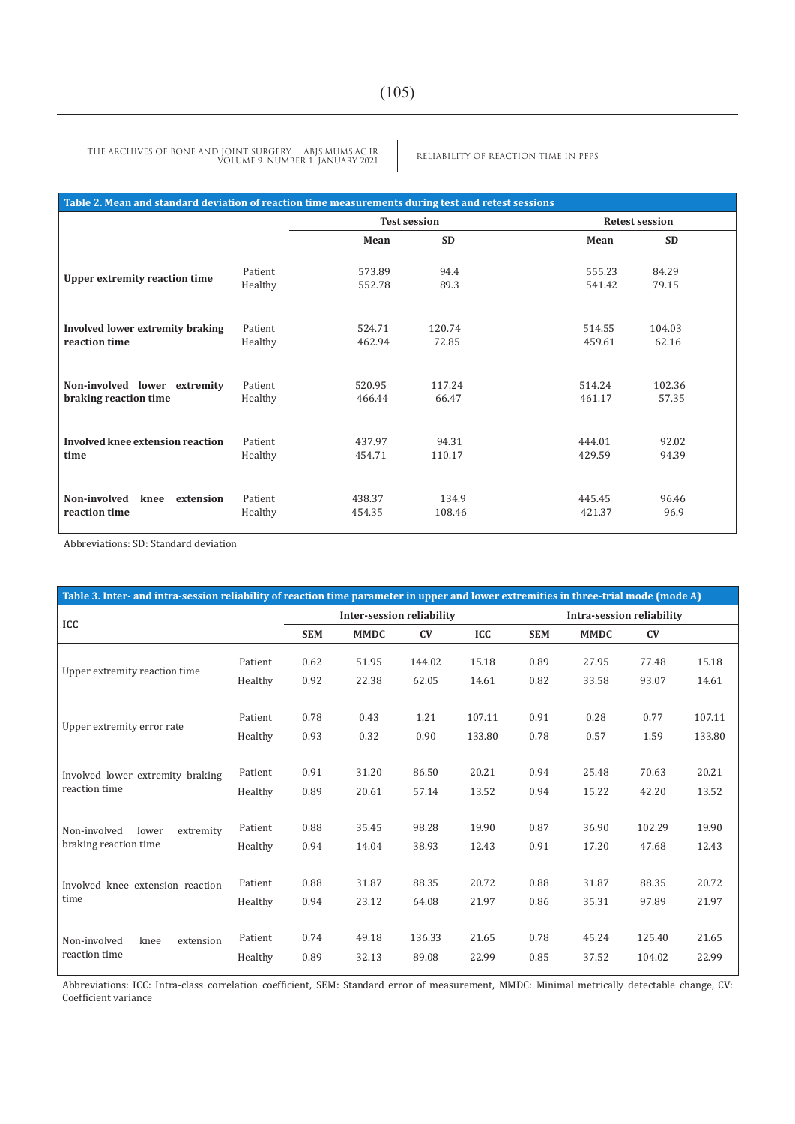RELIABILITY OF REACTION TIME IN PFPS THE ARCHIVES OF BONE AND JOINT SURGERY. ABJS.MUMS.AC.IR VOLUME 9. NUMBER 1. JANUARY 2021

| Table 2. Mean and standard deviation of reaction time measurements during test and retest sessions |                    |                     |                 |                       |               |  |  |  |  |
|----------------------------------------------------------------------------------------------------|--------------------|---------------------|-----------------|-----------------------|---------------|--|--|--|--|
|                                                                                                    |                    | <b>Test session</b> |                 | <b>Retest session</b> |               |  |  |  |  |
|                                                                                                    |                    | Mean                | <b>SD</b>       | Mean                  | <b>SD</b>     |  |  |  |  |
| <b>Upper extremity reaction time</b>                                                               | Patient            | 573.89              | 94.4            | 555.23                | 84.29         |  |  |  |  |
|                                                                                                    | Healthy            | 552.78              | 89.3            | 541.42                | 79.15         |  |  |  |  |
| Involved lower extremity braking                                                                   | Patient            | 524.71              | 120.74          | 514.55                | 104.03        |  |  |  |  |
| reaction time                                                                                      | Healthy            | 462.94              | 72.85           | 459.61                | 62.16         |  |  |  |  |
| Non-involved lower extremity                                                                       | Patient            | 520.95              | 117.24          | 514.24                | 102.36        |  |  |  |  |
| braking reaction time                                                                              | Healthy            | 466.44              | 66.47           | 461.17                | 57.35         |  |  |  |  |
| Involved knee extension reaction                                                                   | Patient            | 437.97              | 94.31           | 444.01                | 92.02         |  |  |  |  |
| time                                                                                               | Healthy            | 454.71              | 110.17          | 429.59                | 94.39         |  |  |  |  |
| Non-involved<br>knee<br>extension<br>reaction time                                                 | Patient<br>Healthy | 438.37<br>454.35    | 134.9<br>108.46 | 445.45<br>421.37      | 96.46<br>96.9 |  |  |  |  |

Abbreviations: SD: Standard deviation

| Table 3. Inter- and intra-session reliability of reaction time parameter in upper and lower extremities in three-trial mode (mode A) |                                  |             |        |        |                           |             |        |        |
|--------------------------------------------------------------------------------------------------------------------------------------|----------------------------------|-------------|--------|--------|---------------------------|-------------|--------|--------|
|                                                                                                                                      | <b>Inter-session reliability</b> |             |        |        | Intra-session reliability |             |        |        |
|                                                                                                                                      | <b>SEM</b>                       | <b>MMDC</b> | CV     | ICC    | <b>SEM</b>                | <b>MMDC</b> | CV     |        |
| Patient                                                                                                                              | 0.62                             | 51.95       | 144.02 | 15.18  | 0.89                      | 27.95       | 77.48  | 15.18  |
| Healthy                                                                                                                              | 0.92                             | 22.38       | 62.05  | 14.61  | 0.82                      | 33.58       | 93.07  | 14.61  |
|                                                                                                                                      |                                  |             |        |        |                           |             |        |        |
| Patient                                                                                                                              | 0.78                             | 0.43        | 1.21   | 107.11 | 0.91                      | 0.28        | 0.77   | 107.11 |
| Healthy                                                                                                                              | 0.93                             | 0.32        | 0.90   | 133.80 | 0.78                      | 0.57        | 1.59   | 133.80 |
|                                                                                                                                      |                                  |             |        |        |                           |             |        |        |
| Patient                                                                                                                              | 0.91                             | 31.20       | 86.50  | 20.21  | 0.94                      | 25.48       | 70.63  | 20.21  |
| Healthy                                                                                                                              | 0.89                             | 20.61       | 57.14  | 13.52  | 0.94                      | 15.22       | 42.20  | 13.52  |
|                                                                                                                                      |                                  |             |        |        |                           |             |        |        |
| Patient                                                                                                                              | 0.88                             | 35.45       | 98.28  | 19.90  | 0.87                      | 36.90       | 102.29 | 19.90  |
| Healthy                                                                                                                              | 0.94                             | 14.04       | 38.93  | 12.43  | 0.91                      | 17.20       | 47.68  | 12.43  |
|                                                                                                                                      |                                  |             |        |        |                           |             |        |        |
| Patient                                                                                                                              | 0.88                             | 31.87       | 88.35  | 20.72  | 0.88                      | 31.87       | 88.35  | 20.72  |
| Healthy                                                                                                                              | 0.94                             | 23.12       | 64.08  | 21.97  | 0.86                      | 35.31       | 97.89  | 21.97  |
|                                                                                                                                      |                                  |             |        |        |                           |             |        |        |
| Patient                                                                                                                              | 0.74                             | 49.18       | 136.33 | 21.65  | 0.78                      | 45.24       | 125.40 | 21.65  |
| Healthy                                                                                                                              | 0.89                             | 32.13       | 89.08  | 22.99  | 0.85                      | 37.52       | 104.02 | 22.99  |
|                                                                                                                                      |                                  |             |        |        |                           |             |        |        |

Abbreviations: ICC: Intra-class correlation coefficient, SEM: Standard error of measurement, MMDC: Minimal metrically detectable change, CV: Coefficient variance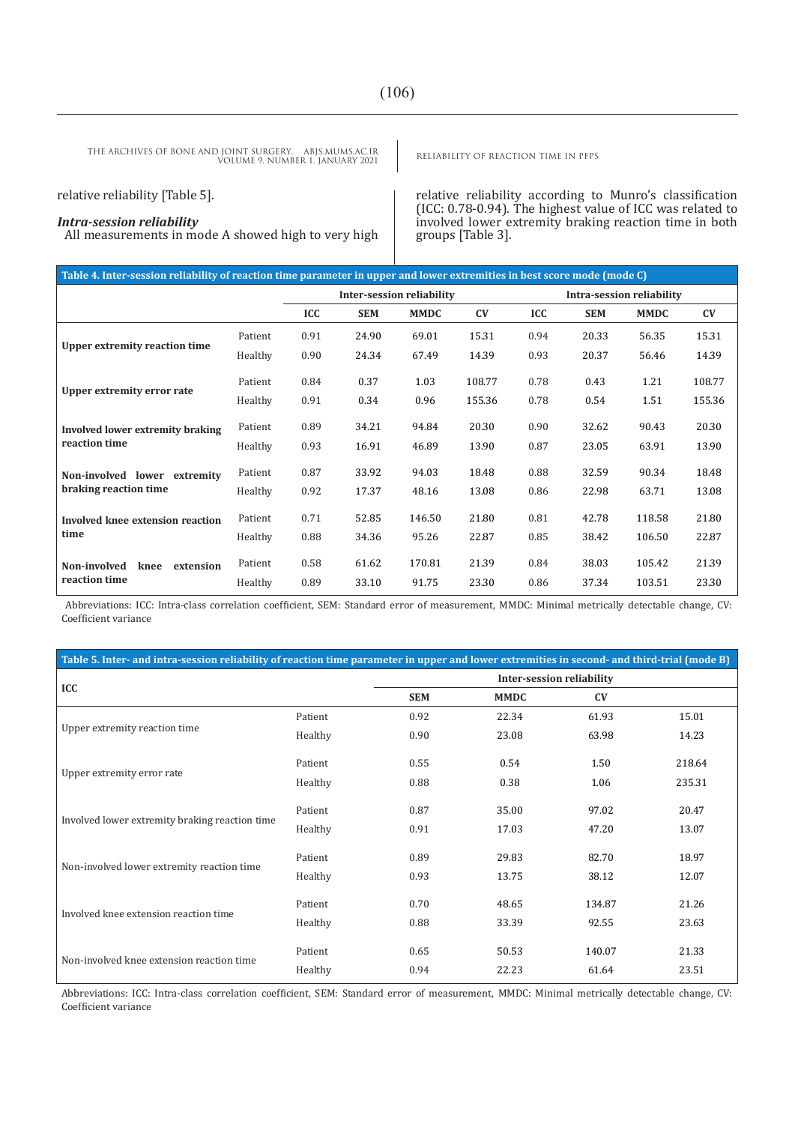RELIABILITY OF REACTION TIME IN PFPS THE ARCHIVES OF BONE AND JOINT SURGERY. ABJS.MUMS.AC.IR VOLUME 9. NUMBER 1. JANUARY 2021

relative reliability [Table 5].

## *Intra-session reliability*

All measurements in mode A showed high to very high

relative reliability according to Munro's classification (ICC: 0.78-0.94). The highest value of ICC was related to involved lower extremity braking reaction time in both groups [Table 3].

| Table 4. Inter-session reliability of reaction time parameter in upper and lower extremities in best score mode (mode C) |         |                                  |            |             |                        |                           |            |             |        |
|--------------------------------------------------------------------------------------------------------------------------|---------|----------------------------------|------------|-------------|------------------------|---------------------------|------------|-------------|--------|
|                                                                                                                          |         | <b>Inter-session reliability</b> |            |             |                        | Intra-session reliability |            |             |        |
|                                                                                                                          |         | <b>ICC</b>                       | <b>SEM</b> | <b>MMDC</b> | $\mathbf{C}\mathbf{V}$ | ICC                       | <b>SEM</b> | <b>MMDC</b> | CV     |
|                                                                                                                          | Patient | 0.91                             | 24.90      | 69.01       | 15.31                  | 0.94                      | 20.33      | 56.35       | 15.31  |
| Upper extremity reaction time                                                                                            | Healthy | 0.90                             | 24.34      | 67.49       | 14.39                  | 0.93                      | 20.37      | 56.46       | 14.39  |
|                                                                                                                          | Patient | 0.84                             | 0.37       | 1.03        | 108.77                 | 0.78                      | 0.43       | 1.21        | 108.77 |
| Upper extremity error rate                                                                                               | Healthy | 0.91                             | 0.34       | 0.96        | 155.36                 | 0.78                      | 0.54       | 1.51        | 155.36 |
| Involved lower extremity braking                                                                                         | Patient | 0.89                             | 34.21      | 94.84       | 20.30                  | 0.90                      | 32.62      | 90.43       | 20.30  |
| reaction time                                                                                                            | Healthy | 0.93                             | 16.91      | 46.89       | 13.90                  | 0.87                      | 23.05      | 63.91       | 13.90  |
| Non-involved lower extremity                                                                                             | Patient | 0.87                             | 33.92      | 94.03       | 18.48                  | 0.88                      | 32.59      | 90.34       | 18.48  |
| braking reaction time                                                                                                    | Healthy | 0.92                             | 17.37      | 48.16       | 13.08                  | 0.86                      | 22.98      | 63.71       | 13.08  |
| Involved knee extension reaction                                                                                         | Patient | 0.71                             | 52.85      | 146.50      | 21.80                  | 0.81                      | 42.78      | 118.58      | 21.80  |
| time                                                                                                                     | Healthy | 0.88                             | 34.36      | 95.26       | 22.87                  | 0.85                      | 38.42      | 106.50      | 22.87  |
| Non-involved<br>knee<br>extension                                                                                        | Patient | 0.58                             | 61.62      | 170.81      | 21.39                  | 0.84                      | 38.03      | 105.42      | 21.39  |
| reaction time                                                                                                            | Healthy | 0.89                             | 33.10      | 91.75       | 23.30                  | 0.86                      | 37.34      | 103.51      | 23.30  |

Abbreviations: ICC: Intra-class correlation coefficient, SEM: Standard error of measurement, MMDC: Minimal metrically detectable change, CV: Coefficient variance

| Table 5. Inter- and intra-session reliability of reaction time parameter in upper and lower extremities in second- and third-trial (mode B) |         |                                  |             |        |        |  |  |  |
|---------------------------------------------------------------------------------------------------------------------------------------------|---------|----------------------------------|-------------|--------|--------|--|--|--|
| ICC                                                                                                                                         |         | <b>Inter-session reliability</b> |             |        |        |  |  |  |
|                                                                                                                                             |         | <b>SEM</b>                       | <b>MMDC</b> | CV     |        |  |  |  |
|                                                                                                                                             | Patient | 0.92                             | 22.34       | 61.93  | 15.01  |  |  |  |
| Upper extremity reaction time                                                                                                               | Healthy | 0.90                             | 23.08       | 63.98  | 14.23  |  |  |  |
| Upper extremity error rate                                                                                                                  | Patient | 0.55                             | 0.54        | 1.50   | 218.64 |  |  |  |
|                                                                                                                                             | Healthy | 0.88                             | 0.38        | 1.06   | 235.31 |  |  |  |
| Involved lower extremity braking reaction time                                                                                              | Patient | 0.87                             | 35.00       | 97.02  | 20.47  |  |  |  |
|                                                                                                                                             | Healthy | 0.91                             | 17.03       | 47.20  | 13.07  |  |  |  |
| Non-involved lower extremity reaction time                                                                                                  | Patient | 0.89                             | 29.83       | 82.70  | 18.97  |  |  |  |
|                                                                                                                                             | Healthy | 0.93                             | 13.75       | 38.12  | 12.07  |  |  |  |
| Involved knee extension reaction time                                                                                                       | Patient | 0.70                             | 48.65       | 134.87 | 21.26  |  |  |  |
|                                                                                                                                             | Healthy | 0.88                             | 33.39       | 92.55  | 23.63  |  |  |  |
|                                                                                                                                             | Patient | 0.65                             | 50.53       | 140.07 | 21.33  |  |  |  |
| Non-involved knee extension reaction time                                                                                                   | Healthy | 0.94                             | 22.23       | 61.64  | 23.51  |  |  |  |

Abbreviations: ICC: Intra-class correlation coefficient, SEM: Standard error of measurement, MMDC: Minimal metrically detectable change, CV: Coefficient variance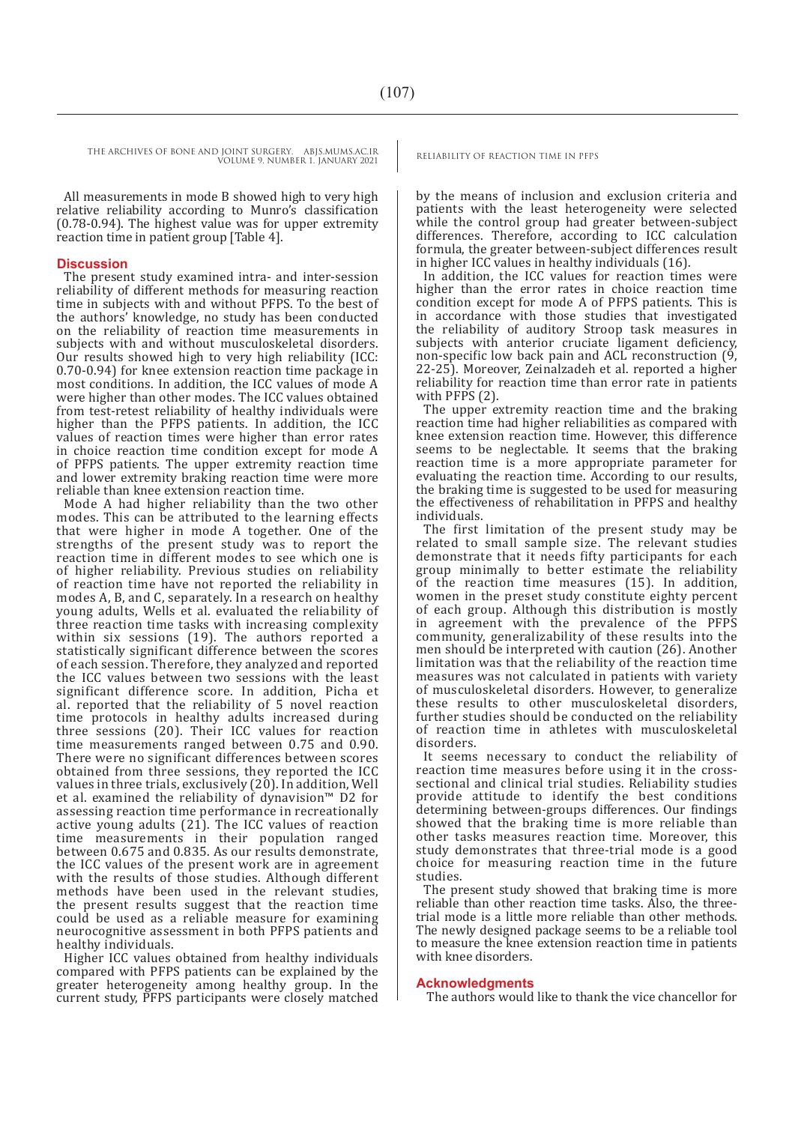THE ARCHIVES OF BONE AND JOINT SURGERY. ABJS.MUMS.AC.IR RELIABILITY OF REACTION TIME IN PFPS VOLUME 9. NUMBER 1. JANUARY 2021

> All measurements in mode B showed high to very high relative reliability according to Munro's classification (0.78-0.94). The highest value was for upper extremity reaction time in patient group [Table 4].

#### **Discussion**

The present study examined intra- and inter-session reliability of different methods for measuring reaction time in subjects with and without PFPS. To the best of the authors' knowledge, no study has been conducted on the reliability of reaction time measurements in subjects with and without musculoskeletal disorders. Our results showed high to very high reliability (ICC: 0.70-0.94) for knee extension reaction time package in most conditions. In addition, the ICC values of mode A were higher than other modes. The ICC values obtained from test-retest reliability of healthy individuals were higher than the PFPS patients. In addition, the ICC values of reaction times were higher than error rates in choice reaction time condition except for mode A of PFPS patients. The upper extremity reaction time and lower extremity braking reaction time were more reliable than knee extension reaction time.

Mode A had higher reliability than the two other modes. This can be attributed to the learning effects that were higher in mode A together. One of the strengths of the present study was to report the reaction time in different modes to see which one is of higher reliability. Previous studies on reliability of reaction time have not reported the reliability in modes A, B, and C, separately. In a research on healthy young adults, Wells et al. evaluated the reliability of three reaction time tasks with increasing complexity within six sessions (19). The authors reported a statistically significant difference between the scores of each session. Therefore, they analyzed and reported the ICC values between two sessions with the least significant difference score. In addition, Picha et al. reported that the reliability of 5 novel reaction time protocols in healthy adults increased during three sessions (20). Their ICC values for reaction time measurements ranged between 0.75 and 0.90. There were no significant differences between scores obtained from three sessions, they reported the ICC values in three trials, exclusively (20). In addition, Well et al. examined the reliability of dynavision™ D2 for assessing reaction time performance in recreationally active young adults  $(21)$ . The ICC values of reaction time measurements in their population ranged between 0.675 and 0.835. As our results demonstrate, the ICC values of the present work are in agreement with the results of those studies. Although different methods have been used in the relevant studies, the present results suggest that the reaction time could be used as a reliable measure for examining neurocognitive assessment in both PFPS patients and healthy individuals.

Higher ICC values obtained from healthy individuals compared with PFPS patients can be explained by the greater heterogeneity among healthy group. In the current study, PFPS participants were closely matched

by the means of inclusion and exclusion criteria and patients with the least heterogeneity were selected while the control group had greater between-subject differences. Therefore, according to ICC calculation formula, the greater between-subject differences result in higher ICC values in healthy individuals (16).

In addition, the ICC values for reaction times were higher than the error rates in choice reaction time condition except for mode A of PFPS patients. This is in accordance with those studies that investigated the reliability of auditory Stroop task measures in subjects with anterior cruciate ligament deficiency, non-specific low back pain and ACL reconstruction (9, 22-25). Moreover, Zeinalzadeh et al. reported a higher reliability for reaction time than error rate in patients with PFPS (2).

The upper extremity reaction time and the braking reaction time had higher reliabilities as compared with knee extension reaction time. However, this difference seems to be neglectable. It seems that the braking reaction time is a more appropriate parameter for evaluating the reaction time. According to our results, the braking time is suggested to be used for measuring the effectiveness of rehabilitation in PFPS and healthy individuals.

The first limitation of the present study may be related to small sample size. The relevant studies demonstrate that it needs fifty participants for each group minimally to better estimate the reliability of the reaction time measures (15). In addition, women in the preset study constitute eighty percent of each group. Although this distribution is mostly in agreement with the prevalence of the PFPS community, generalizability of these results into the men should be interpreted with caution (26). Another limitation was that the reliability of the reaction time measures was not calculated in patients with variety of musculoskeletal disorders. However, to generalize these results to other musculoskeletal disorders, further studies should be conducted on the reliability of reaction time in athletes with musculoskeletal disorders.

It seems necessary to conduct the reliability of reaction time measures before using it in the crosssectional and clinical trial studies. Reliability studies provide attitude to identify the best conditions determining between-groups differences. Our findings showed that the braking time is more reliable than other tasks measures reaction time. Moreover, this study demonstrates that three-trial mode is a good choice for measuring reaction time in the future studies.

The present study showed that braking time is more reliable than other reaction time tasks. Also, the threetrial mode is a little more reliable than other methods. The newly designed package seems to be a reliable tool to measure the knee extension reaction time in patients with knee disorders.

#### **Acknowledgments**

The authors would like to thank the vice chancellor for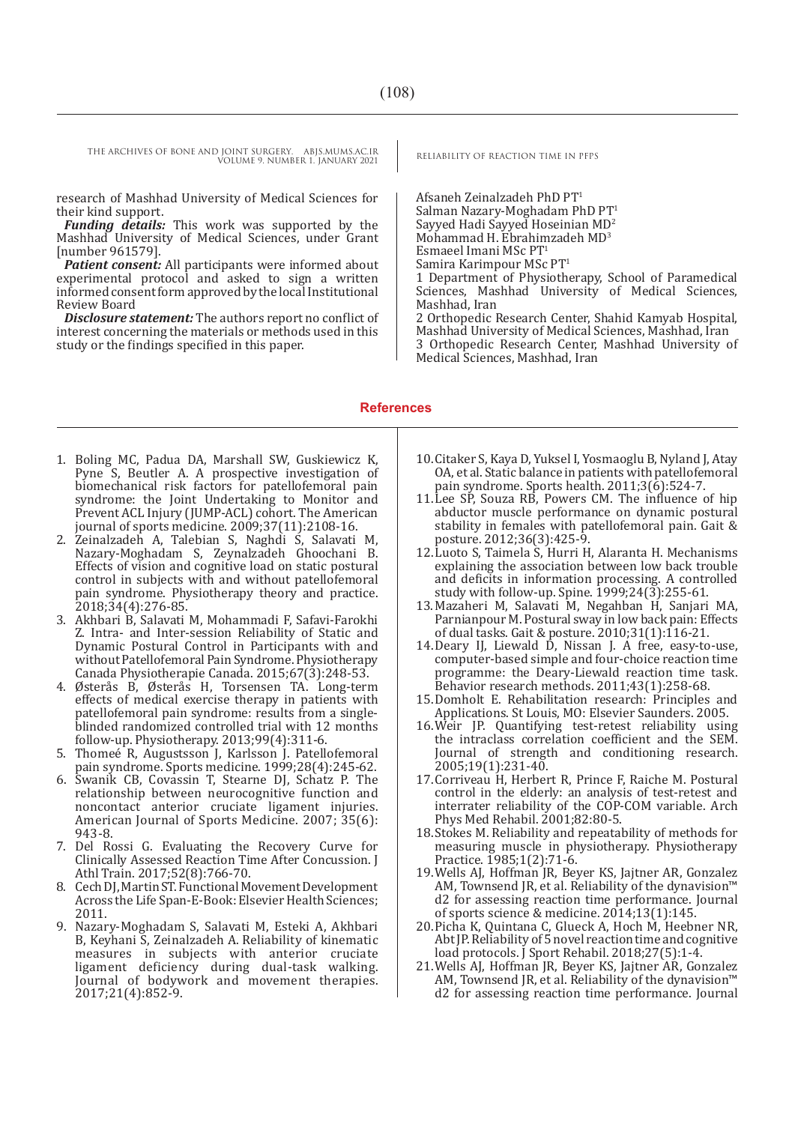THE ARCHIVES OF BONE AND JOINT SURGERY. ABJS.MUMS.AC.IR RELIABILITY OF REACTION TIME IN PFPS VOLUME 9. NUMBER 1. JANUARY 2021

research of Mashhad University of Medical Sciences for their kind support.

*Funding details:* This work was supported by the Mashhad University of Medical Sciences, under Grant [number 961579].

*Patient consent:* All participants were informed about experimental protocol and asked to sign a written informed consent form approved by the local Institutional Review Board

*Disclosure statement:* The authors report no conflict of interest concerning the materials or methods used in this study or the findings specified in this paper.

Afsaneh Zeinalzadeh PhD PT1 Salman Nazary-Moghadam PhD PT1 Sayyed Hadi Sayyed Hoseinian MD2 Mohammad H. Ebrahimzadeh MD3 Esmaeel Imani MSc PT<sup>1</sup> Samira Karimpour MSc PT<sup>1</sup> 1 Department of Physiotherapy, School of Paramedical Sciences, Mashhad University of Medical Sciences, Mashhad, Iran

2 Orthopedic Research Center, Shahid Kamyab Hospital, Mashhad University of Medical Sciences, Mashhad, Iran 3 Orthopedic Research Center, Mashhad University of Medical Sciences, Mashhad, Iran

#### **References**

- 1. Boling MC, Padua DA, Marshall SW, Guskiewicz K, Pyne S, Beutler A. A prospective investigation of biomechanical risk factors for patellofemoral pain syndrome: the Joint Undertaking to Monitor and Prevent ACL Injury (JUMP-ACL) cohort. The American journal of sports medicine. 2009;37(11):2108-16.
- 2. Zeinalzadeh A, Talebian S, Naghdi S, Salavati M, Nazary-Moghadam S, Zeynalzadeh Ghoochani B. Effects of vision and cognitive load on static postural control in subjects with and without patellofemoral pain syndrome. Physiotherapy theory and practice. 2018;34(4):276-85.
- 3. Akhbari B, Salavati M, Mohammadi F, Safavi-Farokhi Z. Intra- and Inter-session Reliability of Static and Dynamic Postural Control in Participants with and without Patellofemoral Pain Syndrome. Physiotherapy Canada Physiotherapie Canada. 2015;67(3):248-53.
- 4. Østerås B, Østerås H, Torsensen TA. Long-term effects of medical exercise therapy in patients with patellofemoral pain syndrome: results from a singleblinded randomized controlled trial with 12 months follow-up. Physiotherapy. 2013;99(4):311-6.
- 5. Thomeé R, Augustsson J, Karlsson J. Patellofemoral pain syndrome. Sports medicine. 1999;28(4):245-62.
- 6. Swanik CB, Covassin T, Stearne DJ, Schatz P. The relationship between neurocognitive function and noncontact anterior cruciate ligament injuries. American Journal of Sports Medicine. 2007; 35(6): 943-8.
- 7. Del Rossi G. Evaluating the Recovery Curve for Clinically Assessed Reaction Time After Concussion. J Athl Train. 2017;52(8):766-70.
- 8. Cech DJ, Martin ST. Functional Movement Development Across the Life Span-E-Book: Elsevier Health Sciences; 2011.
- 9. Nazary-Moghadam S, Salavati M, Esteki A, Akhbari B, Keyhani S, Zeinalzadeh A. Reliability of kinematic measures in subjects with anterior cruciate ligament deficiency during dual-task walking. Journal of bodywork and movement therapies. 2017;21(4):852-9.
- 10.Citaker S, Kaya D, Yuksel I, Yosmaoglu B, Nyland J, Atay OA, et al. Static balance in patients with patellofemoral pain syndrome. Sports health. 2011;3(6):524-7.
- 11.Lee SP, Souza RB, Powers CM. The influence of hip abductor muscle performance on dynamic postural stability in females with patellofemoral pain. Gait & posture. 2012;36(3):425-9.
- 12.Luoto S, Taimela S, Hurri H, Alaranta H. Mechanisms explaining the association between low back trouble and deficits in information processing. A controlled study with follow-up. Spine. 1999;24(3):255-61.
- 13.Mazaheri M, Salavati M, Negahban H, Sanjari MA, Parnianpour M. Postural sway in low back pain: Effects of dual tasks. Gait & posture. 2010;31(1):116-21.
- 14.Deary IJ, Liewald D, Nissan J. A free, easy-to-use, computer-based simple and four-choice reaction time programme: the Deary-Liewald reaction time task. Behavior research methods. 2011;43(1):258-68.
- 15.Domholt E. Rehabilitation research: Principles and Applications. St Louis, MO: Elsevier Saunders. 2005.
- 16.Weir JP. Quantifying test-retest reliability using the intraclass correlation coefficient and the SEM. Journal of strength and conditioning research. 2005;19(1):231-40.
- 17.Corriveau H, Herbert R, Prince F, Raiche M. Postural control in the elderly: an analysis of test-retest and interrater reliability of the COP-COM variable. Arch Phys Med Rehabil. 2001;82:80-5.
- 18.Stokes M. Reliability and repeatability of methods for measuring muscle in physiotherapy. Physiotherapy Practice. 1985;1(2):71-6.
- 19.Wells AJ, Hoffman JR, Beyer KS, Jajtner AR, Gonzalez AM, Townsend JR, et al. Reliability of the dynavision™ d2 for assessing reaction time performance. Journal of sports science & medicine. 2014;13(1):145.
- 20.Picha K, Quintana C, Glueck A, Hoch M, Heebner NR, Abt JP. Reliability of 5 novel reaction time and cognitive load protocols. J Sport Rehabil. 2018;27(5):1-4.
- 21.Wells AJ, Hoffman JR, Beyer KS, Jajtner AR, Gonzalez AM, Townsend JR, et al. Reliability of the dynavision™ d2 for assessing reaction time performance. Journal